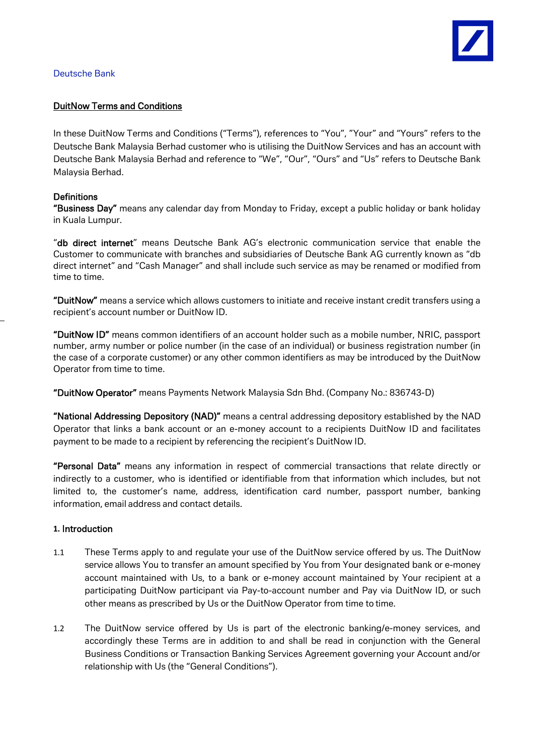

### Deutsche Bank

### DuitNow Terms and Conditions

In these DuitNow Terms and Conditions ("Terms"), references to "You", "Your" and "Yours" refers to the Deutsche Bank Malaysia Berhad customer who is utilising the DuitNow Services and has an account with Deutsche Bank Malaysia Berhad and reference to "We", "Our", "Ours" and "Us" refers to Deutsche Bank Malaysia Berhad.

## **Definitions**

"Business Day" means any calendar day from Monday to Friday, except a public holiday or bank holiday in Kuala Lumpur.

"db direct internet" means Deutsche Bank AG's electronic communication service that enable the Customer to communicate with branches and subsidiaries of Deutsche Bank AG currently known as "db direct internet" and "Cash Manager" and shall include such service as may be renamed or modified from time to time.

"DuitNow" means a service which allows customers to initiate and receive instant credit transfers using a recipient's account number or DuitNow ID.

"DuitNow ID" means common identifiers of an account holder such as a mobile number, NRIC, passport number, army number or police number (in the case of an individual) or business registration number (in the case of a corporate customer) or any other common identifiers as may be introduced by the DuitNow Operator from time to time.

"DuitNow Operator" means Payments Network Malaysia Sdn Bhd. (Company No.: 836743-D)

"National Addressing Depository (NAD)" means a central addressing depository established by the NAD Operator that links a bank account or an e-money account to a recipients DuitNow ID and facilitates payment to be made to a recipient by referencing the recipient's DuitNow ID.

"Personal Data" means any information in respect of commercial transactions that relate directly or indirectly to a customer, who is identified or identifiable from that information which includes, but not limited to, the customer's name, address, identification card number, passport number, banking information, email address and contact details.

#### **1.** Introduction

- 1.1 These Terms apply to and regulate your use of the DuitNow service offered by us. The DuitNow service allows You to transfer an amount specified by You from Your designated bank or e-money account maintained with Us, to a bank or e-money account maintained by Your recipient at a participating DuitNow participant via Pay-to-account number and Pay via DuitNow ID, or such other means as prescribed by Us or the DuitNow Operator from time to time.
- 1.2 The DuitNow service offered by Us is part of the electronic banking/e-money services, and accordingly these Terms are in addition to and shall be read in conjunction with the General Business Conditions or Transaction Banking Services Agreement governing your Account and/or relationship with Us (the "General Conditions").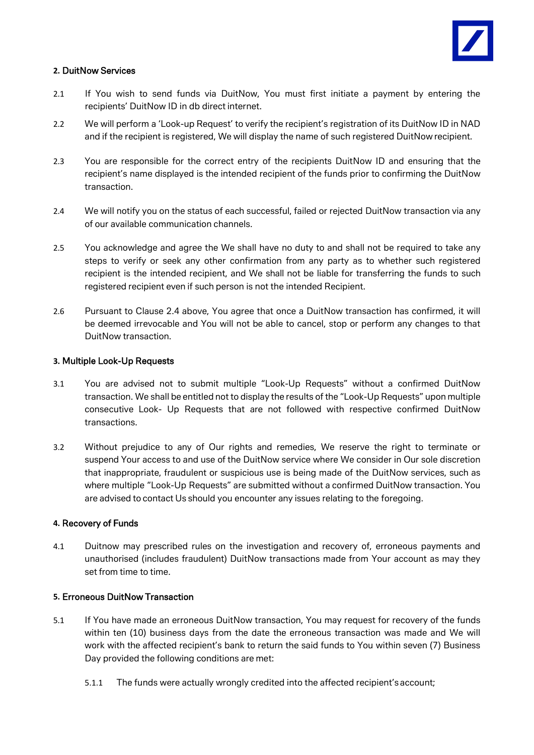

## **2.** DuitNow Services

- 2.1 If You wish to send funds via DuitNow, You must first initiate a payment by entering the recipients' DuitNow ID in db direct internet.
- 2.2 We will perform a 'Look-up Request' to verify the recipient's registration of its DuitNow ID in NAD and if the recipient is registered, We will display the name of such registered DuitNow recipient.
- 2.3 You are responsible for the correct entry of the recipients DuitNow ID and ensuring that the recipient's name displayed is the intended recipient of the funds prior to confirming the DuitNow transaction.
- 2.4 We will notify you on the status of each successful, failed or rejected DuitNow transaction via any of our available communication channels.
- 2.5 You acknowledge and agree the We shall have no duty to and shall not be required to take any steps to verify or seek any other confirmation from any party as to whether such registered recipient is the intended recipient, and We shall not be liable for transferring the funds to such registered recipient even if such person is not the intended Recipient.
- 2.6 Pursuant to Clause 2.4 above, You agree that once a DuitNow transaction has confirmed, it will be deemed irrevocable and You will not be able to cancel, stop or perform any changes to that DuitNow transaction.

#### **3.** Multiple Look-Up Requests

- 3.1 You are advised not to submit multiple "Look-Up Requests" without a confirmed DuitNow transaction. We shall be entitled not to display the results of the "Look-Up Requests" upon multiple consecutive Look- Up Requests that are not followed with respective confirmed DuitNow transactions.
- 3.2 Without prejudice to any of Our rights and remedies, We reserve the right to terminate or suspend Your access to and use of the DuitNow service where We consider in Our sole discretion that inappropriate, fraudulent or suspicious use is being made of the DuitNow services, such as where multiple "Look-Up Requests" are submitted without a confirmed DuitNow transaction. You are advised to contact Us should you encounter any issues relating to the foregoing.

#### **4.** Recovery of Funds

4.1 Duitnow may prescribed rules on the investigation and recovery of, erroneous payments and unauthorised (includes fraudulent) DuitNow transactions made from Your account as may they set from time to time.

## **5.** Erroneous DuitNow Transaction

- 5.1 If You have made an erroneous DuitNow transaction, You may request for recovery of the funds within ten (10) business days from the date the erroneous transaction was made and We will work with the affected recipient's bank to return the said funds to You within seven (7) Business Day provided the following conditions are met:
	- 5.1.1 The funds were actually wrongly credited into the affected recipient's account;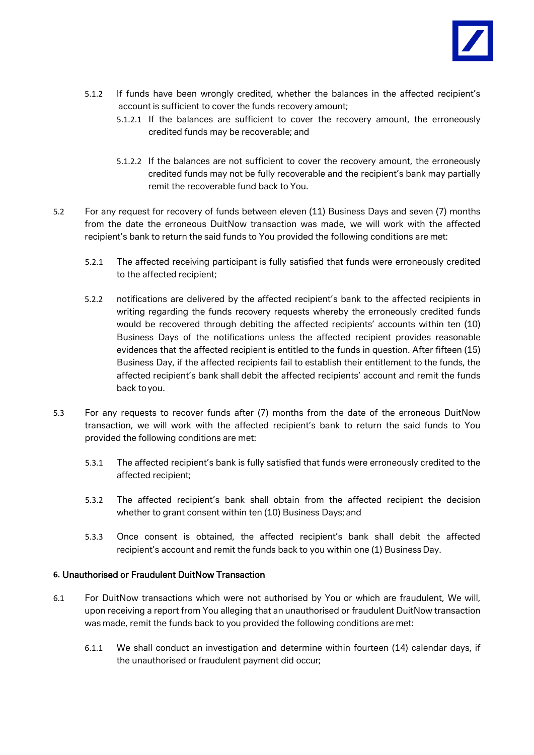

- 5.1.2 If funds have been wrongly credited, whether the balances in the affected recipient's account is sufficient to cover the funds recovery amount;
	- 5.1.2.1 If the balances are sufficient to cover the recovery amount, the erroneously credited funds may be recoverable; and
	- 5.1.2.2 If the balances are not sufficient to cover the recovery amount, the erroneously credited funds may not be fully recoverable and the recipient's bank may partially remit the recoverable fund back to You.
- 5.2 For any request for recovery of funds between eleven (11) Business Days and seven (7) months from the date the erroneous DuitNow transaction was made, we will work with the affected recipient's bank to return the said funds to You provided the following conditions are met:
	- 5.2.1 The affected receiving participant is fully satisfied that funds were erroneously credited to the affected recipient;
	- 5.2.2 notifications are delivered by the affected recipient's bank to the affected recipients in writing regarding the funds recovery requests whereby the erroneously credited funds would be recovered through debiting the affected recipients' accounts within ten (10) Business Days of the notifications unless the affected recipient provides reasonable evidences that the affected recipient is entitled to the funds in question. After fifteen (15) Business Day, if the affected recipients fail to establish their entitlement to the funds, the affected recipient's bank shall debit the affected recipients' account and remit the funds back toyou.
- 5.3 For any requests to recover funds after (7) months from the date of the erroneous DuitNow transaction, we will work with the affected recipient's bank to return the said funds to You provided the following conditions are met:
	- 5.3.1 The affected recipient's bank is fully satisfied that funds were erroneously credited to the affected recipient;
	- 5.3.2 The affected recipient's bank shall obtain from the affected recipient the decision whether to grant consent within ten (10) Business Days; and
	- 5.3.3 Once consent is obtained, the affected recipient's bank shall debit the affected recipient's account and remit the funds back to you within one (1) Business Day.

## **6.** Unauthorised or Fraudulent DuitNow Transaction

- 6.1 For DuitNow transactions which were not authorised by You or which are fraudulent, We will, upon receiving a report from You alleging that an unauthorised or fraudulent DuitNow transaction was made, remit the funds back to you provided the following conditions are met:
	- 6.1.1 We shall conduct an investigation and determine within fourteen (14) calendar days, if the unauthorised or fraudulent payment did occur;